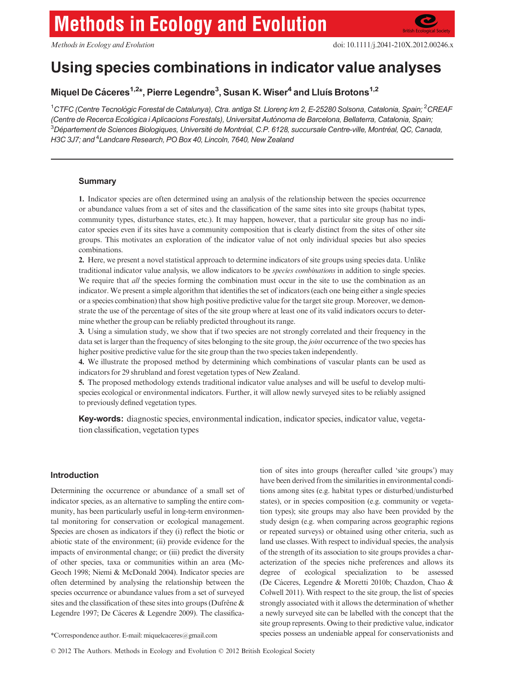# **Methods in Ecology and Evolution**

## Using species combinations in indicator value analyses

## Miquel De Cáceres<sup>1,2\*</sup>, Pierre Legendre<sup>3</sup>, Susan K. Wiser<sup>4</sup> and Lluís Brotons<sup>1,2</sup>

 $^1$ CTFC (Centre Tecnològic Forestal de Catalunya), Ctra. antiga St. Llorenç km 2, E-25280 Solsona, Catalonia, Spain; $^2$ CREAF (Centre de Recerca Ecològica i Aplicacions Forestals), Universitat Autònoma de Barcelona, Bellaterra, Catalonia, Spain;  $^3$ Département de Sciences Biologiques, Université de Montréal, C.P. 6128, succursale Centre-ville, Montréal, QC, Canada, H3C 3J7; and <sup>4</sup> Landcare Research, PO Box 40, Lincoln, 7640, New Zealand

## **Summary**

1. Indicator species are often determined using an analysis of the relationship between the species occurrence or abundance values from a set of sites and the classification of the same sites into site groups (habitat types, community types, disturbance states, etc.). It may happen, however, that a particular site group has no indicator species even if its sites have a community composition that is clearly distinct from the sites of other site groups. This motivates an exploration of the indicator value of not only individual species but also species combinations.

2. Here, we present a novel statistical approach to determine indicators of site groups using species data. Unlike traditional indicator value analysis, we allow indicators to be species combinations in addition to single species. We require that *all* the species forming the combination must occur in the site to use the combination as an indicator. We present a simple algorithm that identifies the set of indicators (each one being either a single species or a species combination) that show high positive predictive value for the target site group. Moreover, we demonstrate the use of the percentage of sites of the site group where at least one of its valid indicators occurs to determine whether the group can be reliably predicted throughout its range.

3. Using a simulation study, we show that if two species are not strongly correlated and their frequency in the data set is larger than the frequency of sites belonging to the site group, the *joint* occurrence of the two species has higher positive predictive value for the site group than the two species taken independently.

4. We illustrate the proposed method by determining which combinations of vascular plants can be used as indicators for 29 shrubland and forest vegetation types of New Zealand.

5. The proposed methodology extends traditional indicator value analyses and will be useful to develop multispecies ecological or environmental indicators. Further, it will allow newly surveyed sites to be reliably assigned to previously defined vegetation types.

Key-words: diagnostic species, environmental indication, indicator species, indicator value, vegetation classification, vegetation types

## Introduction

Determining the occurrence or abundance of a small set of indicator species, as an alternative to sampling the entire community, has been particularly useful in long-term environmental monitoring for conservation or ecological management. Species are chosen as indicators if they (i) reflect the biotic or abiotic state of the environment; (ii) provide evidence for the impacts of environmental change; or (iii) predict the diversity of other species, taxa or communities within an area (Mc-Geoch 1998; Niemi & McDonald 2004). Indicator species are often determined by analysing the relationship between the species occurrence or abundance values from a set of surveyed sites and the classification of these sites into groups (Dufrêne  $\&$ Legendre 1997; De Cáceres & Legendre 2009). The classifica-

tion of sites into groups (hereafter called 'site groups') may have been derived from the similarities in environmental conditions among sites (e.g. habitat types or disturbed/undisturbed states), or in species composition (e.g. community or vegetation types); site groups may also have been provided by the study design (e.g. when comparing across geographic regions or repeated surveys) or obtained using other criteria, such as land use classes. With respect to individual species, the analysis of the strength of its association to site groups provides a characterization of the species niche preferences and allows its degree of ecological specialization to be assessed (De Ca´ceres, Legendre & Moretti 2010b; Chazdon, Chao & Colwell 2011). With respect to the site group, the list of species strongly associated with it allows the determination of whether a newly surveyed site can be labelled with the concept that the site group represents. Owing to their predictive value, indicator \*Correspondence author. E-mail: miquelcaceres@gmail.com species possess an undeniable appeal for conservationists and

© 2012 The Authors. Methods in Ecology and Evolution © 2012 British Ecological Society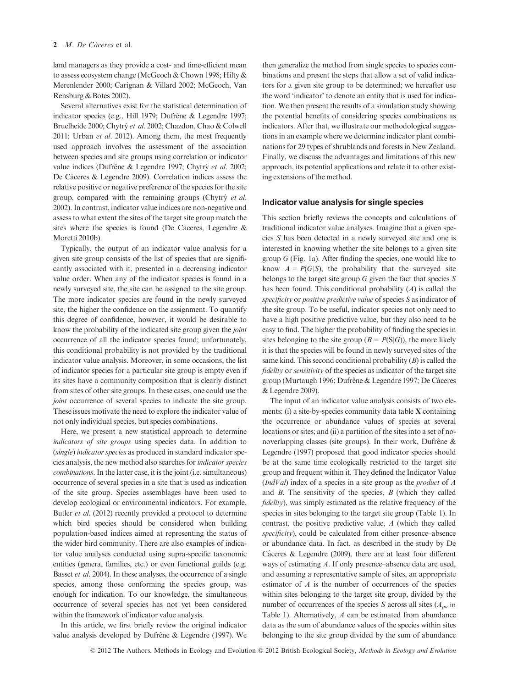land managers as they provide a cost- and time-efficient mean to assess ecosystem change (McGeoch & Chown 1998; Hilty & Merenlender 2000; Carignan & Villard 2002; McGeoch, Van Rensburg & Botes 2002).

Several alternatives exist for the statistical determination of indicator species (e.g., Hill 1979; Dufrêne & Legendre 1997; Bruelheide 2000; Chytrý et al. 2002; Chazdon, Chao & Colwell 2011; Urban et al. 2012). Among them, the most frequently used approach involves the assessment of the association between species and site groups using correlation or indicator value indices (Dufrêne & Legendre 1997; Chytrý et al. 2002; De Cáceres & Legendre 2009). Correlation indices assess the relative positive or negative preference of the species for the site group, compared with the remaining groups (Chytry et al. 2002). In contrast, indicator value indices are non-negative and assess to what extent the sites of the target site group match the sites where the species is found (De Cáceres, Legendre  $\&$ Moretti 2010b).

Typically, the output of an indicator value analysis for a given site group consists of the list of species that are significantly associated with it, presented in a decreasing indicator value order. When any of the indicator species is found in a newly surveyed site, the site can be assigned to the site group. The more indicator species are found in the newly surveyed site, the higher the confidence on the assignment. To quantify this degree of confidence, however, it would be desirable to know the probability of the indicated site group given the joint occurrence of all the indicator species found; unfortunately, this conditional probability is not provided by the traditional indicator value analysis. Moreover, in some occasions, the list of indicator species for a particular site group is empty even if its sites have a community composition that is clearly distinct from sites of other site groups. In these cases, one could use the joint occurrence of several species to indicate the site group. These issues motivate the need to explore the indicator value of not only individual species, but species combinations.

Here, we present a new statistical approach to determine indicators of site groups using species data. In addition to (single) indicator species as produced in standard indicator species analysis, the new method also searches for indicator species combinations. In the latter case, it is the joint (i.e. simultaneous) occurrence of several species in a site that is used as indication of the site group. Species assemblages have been used to develop ecological or environmental indicators. For example, Butler *et al.* (2012) recently provided a protocol to determine which bird species should be considered when building population-based indices aimed at representing the status of the wider bird community. There are also examples of indicator value analyses conducted using supra-specific taxonomic entities (genera, families, etc.) or even functional guilds (e.g. Basset et al. 2004). In these analyses, the occurrence of a single species, among those conforming the species group, was enough for indication. To our knowledge, the simultaneous occurrence of several species has not yet been considered within the framework of indicator value analysis.

In this article, we first briefly review the original indicator value analysis developed by Dufrêne  $&$  Legendre (1997). We then generalize the method from single species to species combinations and present the steps that allow a set of valid indicators for a given site group to be determined; we hereafter use the word 'indicator' to denote an entity that is used for indication. We then present the results of a simulation study showing the potential benefits of considering species combinations as indicators. After that, we illustrate our methodological suggestions in an example where we determine indicator plant combinations for 29 types of shrublands and forests in New Zealand. Finally, we discuss the advantages and limitations of this new approach, its potential applications and relate it to other existing extensions of the method.

#### Indicator value analysis for single species

This section briefly reviews the concepts and calculations of traditional indicator value analyses. Imagine that a given species S has been detected in a newly surveyed site and one is interested in knowing whether the site belongs to a given site group  $G$  (Fig. 1a). After finding the species, one would like to know  $A = P(G|S)$ , the probability that the surveyed site belongs to the target site group  $G$  given the fact that species  $S$ has been found. This conditional probability  $(A)$  is called the specificity or positive predictive value of species S as indicator of the site group. To be useful, indicator species not only need to have a high positive predictive value, but they also need to be easy to find. The higher the probability of finding the species in sites belonging to the site group ( $B = P(S|G)$ ), the more likely it is that the species will be found in newly surveyed sites of the same kind. This second conditional probability  $(B)$  is called the fidelity or sensitivity of the species as indicator of the target site group (Murtaugh 1996; Dufrêne & Legendre 1997; De Cáceres & Legendre 2009).

The input of an indicator value analysis consists of two elements: (i) a site-by-species community data table X containing the occurrence or abundance values of species at several locations or sites; and (ii) a partition of the sites into a set of nonoverlapping classes (site groups). In their work, Dufrêne  $\&$ Legendre (1997) proposed that good indicator species should be at the same time ecologically restricted to the target site group and frequent within it. They defined the Indicator Value  $(IndVal)$  index of a species in a site group as the *product* of  $A$ and  $B$ . The sensitivity of the species,  $B$  (which they called fidelity), was simply estimated as the relative frequency of the species in sites belonging to the target site group (Table 1). In contrast, the positive predictive value, A (which they called specificity), could be calculated from either presence–absence or abundance data. In fact, as described in the study by De Cáceres  $& Legendre (2009)$ , there are at least four different ways of estimating A. If only presence–absence data are used, and assuming a representative sample of sites, an appropriate estimator of  $A$  is the number of occurrences of the species within sites belonging to the target site group, divided by the number of occurrences of the species S across all sites  $(A_{pa}$  in Table 1). Alternatively, A can be estimated from abundance data as the sum of abundance values of the species within sites belonging to the site group divided by the sum of abundance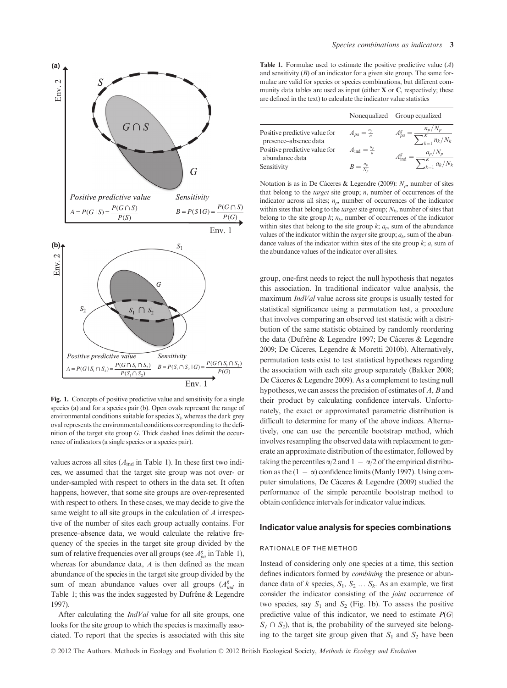

Fig. 1. Concepts of positive predictive value and sensitivity for a single species (a) and for a species pair (b). Open ovals represent the range of environmental conditions suitable for species  $S_i$ , whereas the dark grey oval represents the environmental conditions corresponding to the definition of the target site group G. Thick dashed lines delimit the occurrence of indicators (a single species or a species pair).

values across all sites  $(A_{ind}$  in Table 1). In these first two indices, we assumed that the target site group was not over- or under-sampled with respect to others in the data set. It often happens, however, that some site groups are over-represented with respect to others. In these cases, we may decide to give the same weight to all site groups in the calculation of A irrespective of the number of sites each group actually contains. For presence–absence data, we would calculate the relative frequency of the species in the target site group divided by the sum of relative frequencies over all groups (see  $A_{pa}^g$  in Table 1), whereas for abundance data,  $A$  is then defined as the mean abundance of the species in the target site group divided by the sum of mean abundance values over all groups  $(A_{ind}^g)$  in Table 1; this was the index suggested by Dufrêne  $&$  Legendre 1997).

After calculating the *IndVal* value for all site groups, one looks for the site group to which the species is maximally associated. To report that the species is associated with this site

Table 1. Formulae used to estimate the positive predictive value  $(A)$ and sensitivity  $(B)$  of an indicator for a given site group. The same formulae are valid for species or species combinations, but different community data tables are used as input (either  $X$  or  $C$ , respectively; these are defined in the text) to calculate the indicator value statistics

|                                                        | Nonequalized                 | Group equalized                                           |
|--------------------------------------------------------|------------------------------|-----------------------------------------------------------|
| Positive predictive value for<br>presence-absence data | $A_{pa} = \frac{n_p}{n}$     | $A_{pa}^{g} = \frac{n_p/N_p}{\sum_{k=1}^{K} n_k/N_k}$     |
| Positive predictive value for<br>abundance data        | $A_{\rm ind} = \frac{dp}{a}$ | $A_{\text{ind}}^g = \frac{a_p/N_p}{\sum_{k=1}^K a_k/N_k}$ |
| Sensitivity                                            | $B=\frac{n_p}{N}$            |                                                           |

Notation is as in De Cáceres & Legendre (2009):  $N_p$ , number of sites that belong to the *target* site group;  $n$ , number of occurrences of the indicator across all sites;  $n_p$ , number of occurrences of the indicator within sites that belong to the *target* site group;  $N_k$ , number of sites that belong to the site group  $k$ ;  $n_k$ , number of occurrences of the indicator within sites that belong to the site group  $k$ ;  $a_p$ , sum of the abundance values of the indicator within the *target* site group;  $a_k$ , sum of the abundance values of the indicator within sites of the site group  $k$ ;  $a$ , sum of the abundance values of the indicator over all sites.

group, one-first needs to reject the null hypothesis that negates this association. In traditional indicator value analysis, the maximum IndVal value across site groups is usually tested for statistical significance using a permutation test, a procedure that involves comparing an observed test statistic with a distribution of the same statistic obtained by randomly reordering the data (Dufrêne & Legendre 1997; De Cáceres & Legendre 2009; De Cáceres, Legendre & Moretti 2010b). Alternatively, permutation tests exist to test statistical hypotheses regarding the association with each site group separately (Bakker 2008; De Cáceres & Legendre 2009). As a complement to testing null hypotheses, we can assess the precision of estimates of A, B and their product by calculating confidence intervals. Unfortunately, the exact or approximated parametric distribution is difficult to determine for many of the above indices. Alternatively, one can use the percentile bootstrap method, which involves resampling the observed data with replacement to generate an approximate distribution of the estimator, followed by taking the percentiles  $\alpha/2$  and  $1 - \alpha/2$  of the empirical distribution as the  $(1 - \alpha)$  confidence limits (Manly 1997). Using computer simulations, De Cáceres & Legendre (2009) studied the performance of the simple percentile bootstrap method to obtain confidence intervals for indicator value indices.

#### Indicator value analysis for species combinations

#### RATIONALE OF THE METHOD

Instead of considering only one species at a time, this section defines indicators formed by combining the presence or abundance data of k species,  $S_1, S_2, \ldots, S_k$ . As an example, we first consider the indicator consisting of the joint occurrence of two species, say  $S_1$  and  $S_2$  (Fig. 1b). To assess the positive predictive value of this indicator, we need to estimate  $P(G)$  $S_1 \cap S_2$ , that is, the probability of the surveyed site belonging to the target site group given that  $S_1$  and  $S_2$  have been

© 2012 The Authors. Methods in Ecology and Evolution © 2012 British Ecological Society, Methods in Ecology and Evolution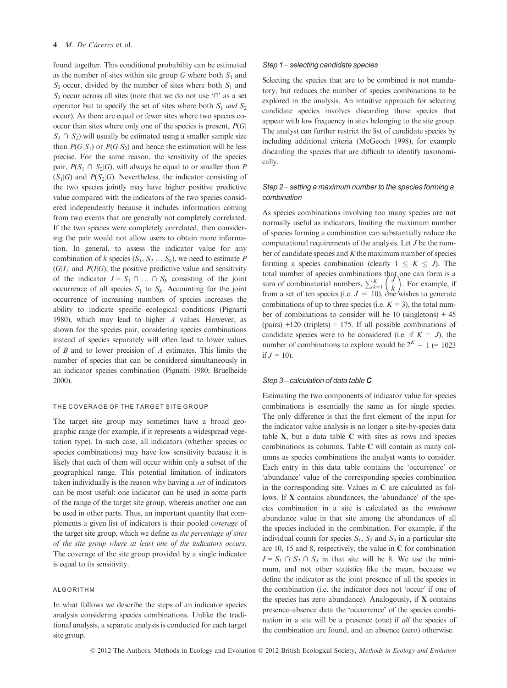## 4 M. De Cáceres et al.

found together. This conditional probability can be estimated as the number of sites within site group G where both  $S_1$  and  $S_2$  occur, divided by the number of sites where both  $S_1$  and  $S_2$  occur across all sites (note that we do not use '∩' as a set operator but to specify the set of sites where both  $S_1$  and  $S_2$ occur). As there are equal or fewer sites where two species cooccur than sites where only one of the species is present,  $P(G)$  $S_1 \cap S_2$ ) will usually be estimated using a smaller sample size than  $P(G|S_1)$  or  $P(G|S_2)$  and hence the estimation will be less precise. For the same reason, the sensitivity of the species pair,  $P(S_1 \cap S_2 | G)$ , will always be equal to or smaller than P  $(S_1|G)$  and  $P(S_2|G)$ . Nevertheless, the indicator consisting of the two species jointly may have higher positive predictive value compared with the indicators of the two species considered independently because it includes information coming from two events that are generally not completely correlated. If the two species were completely correlated, then considering the pair would not allow users to obtain more information. In general, to assess the indicator value for any combination of k species  $(S_1, S_2, \ldots, S_k)$ , we need to estimate P  $(G|I)$  and  $P(I|G)$ , the positive predictive value and sensitivity of the indicator  $I = S_1 \cap ... \cap S_k$  consisting of the joint occurrence of all species  $S_1$  to  $S_k$ . Accounting for the joint occurrence of increasing numbers of species increases the ability to indicate specific ecological conditions (Pignatti 1980), which may lead to higher A values. However, as shown for the species pair, considering species combinations instead of species separately will often lead to lower values of  $B$  and to lower precision of  $A$  estimates. This limits the number of species that can be considered simultaneously in an indicator species combination (Pignatti 1980; Bruelheide 2000).

#### THE COVERAGE OF THE TARGET SITE GROUP

The target site group may sometimes have a broad geographic range (for example, if it represents a widespread vegetation type). In such case, all indicators (whether species or species combinations) may have low sensitivity because it is likely that each of them will occur within only a subset of the geographical range. This potential limitation of indicators taken individually is the reason why having a set of indicators can be most useful: one indicator can be used in some parts of the range of the target site group, whereas another one can be used in other parts. Thus, an important quantity that complements a given list of indicators is their pooled coverage of the target site group, which we define as the percentage of sites of the site group where at least one of the indicators occurs. The coverage of the site group provided by a single indicator is equal to its sensitivity.

## ALGORITHM

In what follows we describe the steps of an indicator species analysis considering species combinations. Unlike the traditional analysis, a separate analysis is conducted for each target site group.

#### Step 1 – selecting candidate species

Selecting the species that are to be combined is not mandatory, but reduces the number of species combinations to be explored in the analysis. An intuitive approach for selecting candidate species involves discarding those species that appear with low frequency in sites belonging to the site group. The analyst can further restrict the list of candidate species by including additional criteria (McGeoch 1998), for example discarding the species that are difficult to identify taxonomically.

## Step 2 – setting a maximum number to the species forming a combination

As species combinations involving too many species are not normally useful as indicators, limiting the maximum number of species forming a combination can substantially reduce the computational requirements of the analysis. Let J be the number of candidate species and  $K$  the maximum number of species forming a species combination (clearly  $1 \leq K \leq J$ ). The total number of species combinations that one can form is a sum of combinatorial numbers,  $\sum_{k=1}^{K}$ J k  $\begin{pmatrix} J \\ I_r \end{pmatrix}$ . For example, if from a set of ten species (i.e.  $J = 10$ ), one wishes to generate combinations of up to three species (i.e.  $K = 3$ ), the total number of combinations to consider will be 10 (singletons) + 45 (pairs)  $+120$  (triplets) = 175. If all possible combinations of candidate species were to be considered (i.e. if  $K = J$ ), the number of combinations to explore would be  $2^{K} - 1$  (= 1023) if  $J = 10$ ).

#### Step 3 – calculation of data table  $\mathbf C$

Estimating the two components of indicator value for species combinations is essentially the same as for single species. The only difference is that the first element of the input for the indicator value analysis is no longer a site-by-species data table  $X$ , but a data table  $C$  with sites as rows and species combinations as columns. Table C will contain as many columns as species combinations the analyst wants to consider. Each entry in this data table contains the 'occurrence' or 'abundance' value of the corresponding species combination in the corresponding site. Values in  $C$  are calculated as follows. If X contains abundances, the 'abundance' of the species combination in a site is calculated as the minimum abundance value in that site among the abundances of all the species included in the combination. For example, if the individual counts for species  $S_1$ ,  $S_2$  and  $S_3$  in a particular site are 10, 15 and 8, respectively, the value in C for combination  $I = S_1 \cap S_2 \cap S_3$  in that site will be 8. We use the minimum, and not other statistics like the mean, because we define the indicator as the joint presence of all the species in the combination (i.e. the indicator does not 'occur' if one of the species has zero abundance). Analogously, if  $X$  contains presence–absence data the 'occurrence' of the species combination in a site will be a presence (one) if all the species of the combination are found, and an absence (zero) otherwise.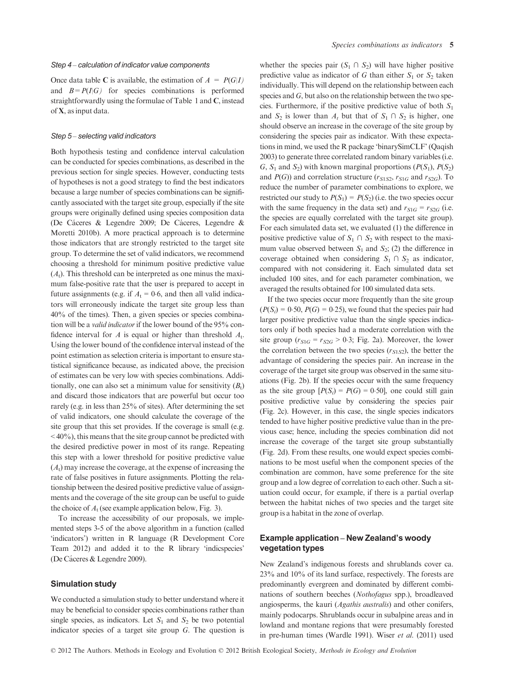#### Step 4 – calculation of indicator value components

Once data table C is available, the estimation of  $A = P(G|I)$ and  $B = P(I|G)$  for species combinations is performed straightforwardly using the formulae of Table 1 and C, instead of X, as input data.

#### Step 5 – selecting valid indicators

Both hypothesis testing and confidence interval calculation can be conducted for species combinations, as described in the previous section for single species. However, conducting tests of hypotheses is not a good strategy to find the best indicators because a large number of species combinations can be significantly associated with the target site group, especially if the site groups were originally defined using species composition data (De Cáceres & Legendre 2009; De Cáceres, Legendre & Moretti 2010b). A more practical approach is to determine those indicators that are strongly restricted to the target site group. To determine the set of valid indicators, we recommend choosing a threshold for minimum positive predictive value  $(A_t)$ . This threshold can be interpreted as one minus the maximum false-positive rate that the user is prepared to accept in future assignments (e.g. if  $A_t = 0.6$ , and then all valid indicators will erroneously indicate the target site group less than 40% of the times). Then, a given species or species combination will be a *valid indicator* if the lower bound of the 95% confidence interval for A is equal or higher than threshold  $A_t$ . Using the lower bound of the confidence interval instead of the point estimation as selection criteria is important to ensure statistical significance because, as indicated above, the precision of estimates can be very low with species combinations. Additionally, one can also set a minimum value for sensitivity  $(B_t)$ and discard those indicators that are powerful but occur too rarely (e.g. in less than 25% of sites). After determining the set of valid indicators, one should calculate the coverage of the site group that this set provides. If the coverage is small (e.g.  $<$  40%), this means that the site group cannot be predicted with the desired predictive power in most of its range. Repeating this step with a lower threshold for positive predictive value  $(A_t)$  may increase the coverage, at the expense of increasing the rate of false positives in future assignments. Plotting the relationship between the desired positive predictive value of assignments and the coverage of the site group can be useful to guide the choice of  $A_t$  (see example application below, Fig. 3).

To increase the accessibility of our proposals, we implemented steps 3-5 of the above algorithm in a function (called 'indicators') written in R language (R Development Core Team 2012) and added it to the R library 'indicspecies' (De Cáceres & Legendre 2009).

#### Simulation study

We conducted a simulation study to better understand where it may be beneficial to consider species combinations rather than single species, as indicators. Let  $S_1$  and  $S_2$  be two potential indicator species of a target site group G. The question is

whether the species pair  $(S_1 \cap S_2)$  will have higher positive predictive value as indicator of G than either  $S_1$  or  $S_2$  taken individually. This will depend on the relationship between each species and  $G$ , but also on the relationship between the two species. Furthermore, if the positive predictive value of both  $S_1$ and  $S_2$  is lower than  $A_t$  but that of  $S_1 \cap S_2$  is higher, one should observe an increase in the coverage of the site group by considering the species pair as indicator. With these expectations in mind, we used the R package 'binarySimCLF' (Qaqish 2003) to generate three correlated random binary variables (i.e. G,  $S_1$  and  $S_2$ ) with known marginal proportions ( $P(S_1)$ ,  $P(S_2)$ ) and  $P(G)$ ) and correlation structure ( $r_{S1S2}$ ,  $r_{S1G}$  and  $r_{S2G}$ ). To reduce the number of parameter combinations to explore, we restricted our study to  $P(S_1) = P(S_2)$  (i.e. the two species occur with the same frequency in the data set) and  $r_{S1G} = r_{S2G}$  (i.e. the species are equally correlated with the target site group). For each simulated data set, we evaluated (1) the difference in positive predictive value of  $S_1 \cap S_2$  with respect to the maximum value observed between  $S_1$  and  $S_2$ ; (2) the difference in coverage obtained when considering  $S_1 \cap S_2$  as indicator, compared with not considering it. Each simulated data set included 100 sites, and for each parameter combination, we averaged the results obtained for 100 simulated data sets.

If the two species occur more frequently than the site group  $(P(S<sub>i</sub>) = 0.50, P(G) = 0.25)$ , we found that the species pair had larger positive predictive value than the single species indicators only if both species had a moderate correlation with the site group ( $r_{S1G} = r_{S2G} > 0.3$ ; Fig. 2a). Moreover, the lower the correlation between the two species  $(r_{S1S2})$ , the better the advantage of considering the species pair. An increase in the coverage of the target site group was observed in the same situations (Fig. 2b). If the species occur with the same frequency as the site group  $[P(S_i) = P(G) = 0.50]$ , one could still gain positive predictive value by considering the species pair (Fig. 2c). However, in this case, the single species indicators tended to have higher positive predictive value than in the previous case; hence, including the species combination did not increase the coverage of the target site group substantially (Fig. 2d). From these results, one would expect species combinations to be most useful when the component species of the combination are common, have some preference for the site group and a low degree of correlation to each other. Such a situation could occur, for example, if there is a partial overlap between the habitat niches of two species and the target site group is a habitat in the zone of overlap.

## Example application – New Zealand's woody vegetation types

New Zealand's indigenous forests and shrublands cover ca. 23% and 10% of its land surface, respectively. The forests are predominantly evergreen and dominated by different combinations of southern beeches (Nothofagus spp.), broadleaved angiosperms, the kauri (Agathis australis) and other conifers, mainly podocarps. Shrublands occur in subalpine areas and in lowland and montane regions that were presumably forested in pre-human times (Wardle 1991). Wiser et al. (2011) used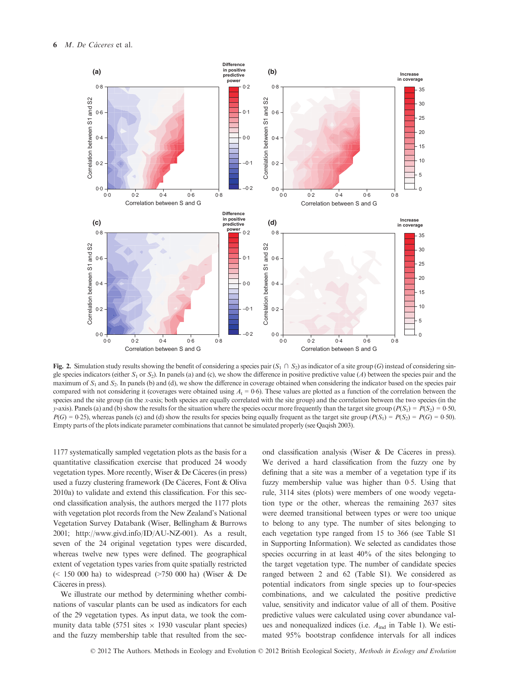

Fig. 2. Simulation study results showing the benefit of considering a species pair  $(S_1 \cap S_2)$  as indicator of a site group (G) instead of considering single species indicators (either  $S_1$  or  $S_2$ ). In panels (a) and (c), we show the difference in positive predictive value (A) between the species pair and the maximum of  $S_1$  and  $S_2$ . In panels (b) and (d), we show the difference in coverage obtained when considering the indicator based on the species pair compared with not considering it (coverages were obtained using  $A_t = 0.6$ ). These values are plotted as a function of the correlation between the species and the site group (in the x-axis; both species are equally correlated with the site group) and the correlation between the two species (in the y-axis). Panels (a) and (b) show the results for the situation where the species occur more frequently than the target site group  $(P(S_1) = P(S_2) = 0.50$ ,  $P(G) = 0.25$ ), whereas panels (c) and (d) show the results for species being equally frequent as the target site group  $(P(S_1) = P(S_2) = P(G) = 0.50)$ . Empty parts of the plots indicate parameter combinations that cannot be simulated properly (see Qaqish 2003).

1177 systematically sampled vegetation plots as the basis for a quantitative classification exercise that produced 24 woody vegetation types. More recently, Wiser  $\&$  De Cáceres (in press) used a fuzzy clustering framework (De Cáceres, Font & Oliva 2010a) to validate and extend this classification. For this second classification analysis, the authors merged the 1177 plots with vegetation plot records from the New Zealand's National Vegetation Survey Databank (Wiser, Bellingham & Burrows 2001; http://www.givd.info/ID/AU-NZ-001). As a result, seven of the 24 original vegetation types were discarded, whereas twelve new types were defined. The geographical extent of vegetation types varies from quite spatially restricted (< 150 000 ha) to widespread (>750 000 ha) (Wiser & De Cáceres in press).

We illustrate our method by determining whether combinations of vascular plants can be used as indicators for each of the 29 vegetation types. As input data, we took the community data table (5751 sites  $\times$  1930 vascular plant species) and the fuzzy membership table that resulted from the second classification analysis (Wiser  $\&$  De Cáceres in press). We derived a hard classification from the fuzzy one by defining that a site was a member of a vegetation type if its fuzzy membership value was higher than 0.5. Using that rule, 3114 sites (plots) were members of one woody vegetation type or the other, whereas the remaining 2637 sites were deemed transitional between types or were too unique to belong to any type. The number of sites belonging to each vegetation type ranged from 15 to 366 (see Table S1 in Supporting Information). We selected as candidates those species occurring in at least 40% of the sites belonging to the target vegetation type. The number of candidate species ranged between 2 and 62 (Table S1). We considered as potential indicators from single species up to four-species combinations, and we calculated the positive predictive value, sensitivity and indicator value of all of them. Positive predictive values were calculated using cover abundance values and nonequalized indices (i.e.  $A_{ind}$  in Table 1). We estimated 95% bootstrap confidence intervals for all indices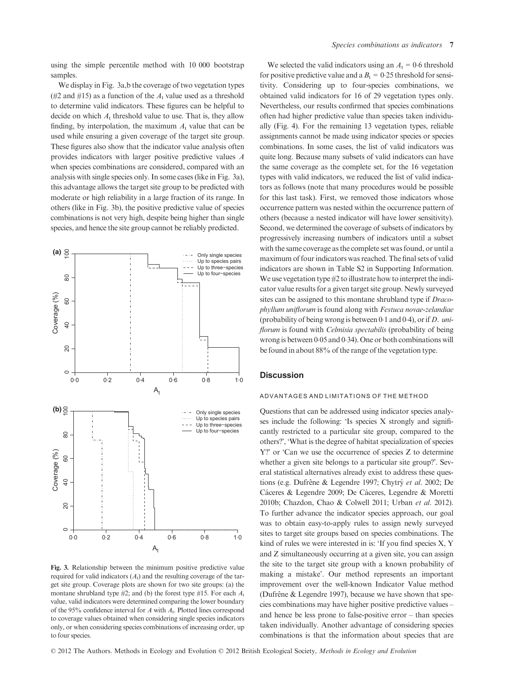using the simple percentile method with 10 000 bootstrap samples.

We display in Fig. 3a,b the coverage of two vegetation types (#2 and #15) as a function of the  $A_t$  value used as a threshold to determine valid indicators. These figures can be helpful to decide on which  $A_t$  threshold value to use. That is, they allow finding, by interpolation, the maximum  $A_t$  value that can be used while ensuring a given coverage of the target site group. These figures also show that the indicator value analysis often provides indicators with larger positive predictive values A when species combinations are considered, compared with an analysis with single species only. In some cases (like in Fig. 3a), this advantage allows the target site group to be predicted with moderate or high reliability in a large fraction of its range. In others (like in Fig. 3b), the positive predictive value of species combinations is not very high, despite being higher than single species, and hence the site group cannot be reliably predicted.



Fig. 3. Relationship between the minimum positive predictive value required for valid indicators  $(A_t)$  and the resulting coverage of the target site group. Coverage plots are shown for two site groups: (a) the montane shrubland type  $#2$ ; and (b) the forest type  $#15$ . For each  $A_t$ value, valid indicators were determined comparing the lower boundary of the 95% confidence interval for A with  $A_t$ . Plotted lines correspond to coverage values obtained when considering single species indicators only, or when considering species combinations of increasing order, up to four species.

We selected the valid indicators using an  $A_t = 0.6$  threshold for positive predictive value and a  $B_t = 0.25$  threshold for sensitivity. Considering up to four-species combinations, we obtained valid indicators for 16 of 29 vegetation types only. Nevertheless, our results confirmed that species combinations often had higher predictive value than species taken individually (Fig. 4). For the remaining 13 vegetation types, reliable assignments cannot be made using indicator species or species combinations. In some cases, the list of valid indicators was quite long. Because many subsets of valid indicators can have the same coverage as the complete set, for the 16 vegetation types with valid indicators, we reduced the list of valid indicators as follows (note that many procedures would be possible for this last task). First, we removed those indicators whose occurrence pattern was nested within the occurrence pattern of others (because a nested indicator will have lower sensitivity). Second, we determined the coverage of subsets of indicators by progressively increasing numbers of indicators until a subset with the same coverage as the complete set was found, or until a maximum of four indicators was reached. The final sets of valid indicators are shown in Table S2 in Supporting Information. We use vegetation type #2 to illustrate how to interpret the indicator value results for a given target site group. Newly surveyed sites can be assigned to this montane shrubland type if Dracophyllum uniflorum is found along with Festuca novae-zelandiae (probability of being wrong is between  $0.1$  and  $0.4$ ), or if D. uniflorum is found with *Celmisia spectabilis* (probability of being wrong is between  $0.05$  and  $0.34$ ). One or both combinations will be found in about 88% of the range of the vegetation type.

### **Discussion**

#### ADVANTAGES AND LIMITATIONS OF THE METHOD

Questions that can be addressed using indicator species analyses include the following: 'Is species X strongly and significantly restricted to a particular site group, compared to the others?', 'What is the degree of habitat specialization of species Y?' or 'Can we use the occurrence of species Z to determine whether a given site belongs to a particular site group?'. Several statistical alternatives already exist to address these questions (e.g. Dufrêne & Legendre 1997; Chytrý et al. 2002; De Cáceres & Legendre 2009; De Cáceres, Legendre & Moretti 2010b; Chazdon, Chao & Colwell 2011; Urban et al. 2012). To further advance the indicator species approach, our goal was to obtain easy-to-apply rules to assign newly surveyed sites to target site groups based on species combinations. The kind of rules we were interested in is: 'If you find species X, Y and Z simultaneously occurring at a given site, you can assign the site to the target site group with a known probability of making a mistake'. Our method represents an important improvement over the well-known Indicator Value method (Dufrêne  $&$  Legendre 1997), because we have shown that species combinations may have higher positive predictive values – and hence be less prone to false-positive error – than species taken individually. Another advantage of considering species combinations is that the information about species that are

© 2012 The Authors. Methods in Ecology and Evolution © 2012 British Ecological Society, Methods in Ecology and Evolution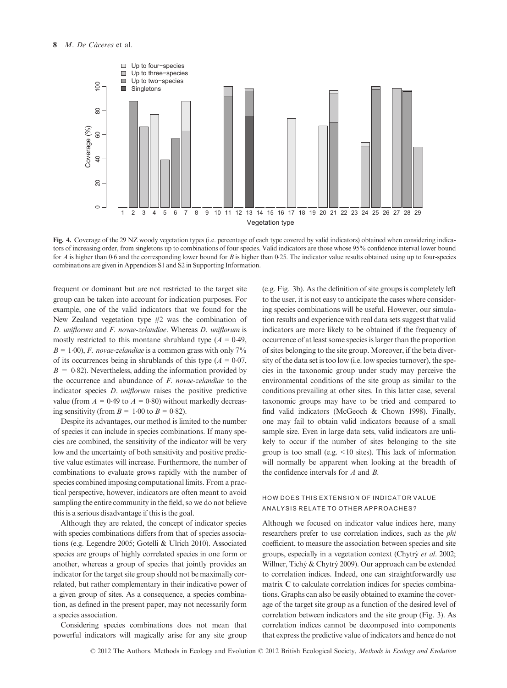

Fig. 4. Coverage of the 29 NZ woody vegetation types (i.e. percentage of each type covered by valid indicators) obtained when considering indicators of increasing order, from singletons up to combinations of four species. Valid indicators are those whose 95% confidence interval lower bound for A is higher than 0.6 and the corresponding lower bound for B is higher than 0.25. The indicator value results obtained using up to four-species combinations are given in Appendices S1 and S2 in Supporting Information.

frequent or dominant but are not restricted to the target site group can be taken into account for indication purposes. For example, one of the valid indicators that we found for the New Zealand vegetation type #2 was the combination of D. uniflorum and F. novae-zelandiae. Whereas D. uniflorum is mostly restricted to this montane shrubland type  $(A = 0.49,$  $B = 1.00$ ), *F. novae-zelandiae* is a common grass with only 7% of its occurrences being in shrublands of this type ( $A = 0.07$ ,  $B = 0.82$ ). Nevertheless, adding the information provided by the occurrence and abundance of F. novae-zelandiae to the indicator species D. uniflorum raises the positive predictive value (from  $A = 0.49$  to  $A = 0.80$ ) without markedly decreasing sensitivity (from  $B = 1.00$  to  $B = 0.82$ ).

Despite its advantages, our method is limited to the number of species it can include in species combinations. If many species are combined, the sensitivity of the indicator will be very low and the uncertainty of both sensitivity and positive predictive value estimates will increase. Furthermore, the number of combinations to evaluate grows rapidly with the number of species combined imposing computational limits. From a practical perspective, however, indicators are often meant to avoid sampling the entire community in the field, so we do not believe this is a serious disadvantage if this is the goal.

Although they are related, the concept of indicator species with species combinations differs from that of species associations (e.g. Legendre 2005; Gotelli & Ulrich 2010). Associated species are groups of highly correlated species in one form or another, whereas a group of species that jointly provides an indicator for the target site group should not be maximally correlated, but rather complementary in their indicative power of a given group of sites. As a consequence, a species combination, as defined in the present paper, may not necessarily form a species association.

Considering species combinations does not mean that powerful indicators will magically arise for any site group (e.g. Fig. 3b). As the definition of site groups is completely left to the user, it is not easy to anticipate the cases where considering species combinations will be useful. However, our simulation results and experience with real data sets suggest that valid indicators are more likely to be obtained if the frequency of occurrence of at least some species is larger than the proportion of sites belonging to the site group. Moreover, if the beta diversity of the data set is too low (i.e. low species turnover), the species in the taxonomic group under study may perceive the environmental conditions of the site group as similar to the conditions prevailing at other sites. In this latter case, several taxonomic groups may have to be tried and compared to find valid indicators (McGeoch & Chown 1998). Finally, one may fail to obtain valid indicators because of a small sample size. Even in large data sets, valid indicators are unlikely to occur if the number of sites belonging to the site group is too small (e.g. < 10 sites). This lack of information will normally be apparent when looking at the breadth of the confidence intervals for A and B.

## HOW DOES THIS EXTENSION OF INDICATOR VALUE ANALYSIS RELATE TO OTHER APPROACHES?

Although we focused on indicator value indices here, many researchers prefer to use correlation indices, such as the phi coefficient, to measure the association between species and site groups, especially in a vegetation context (Chytrý et al. 2002; Willner, Tichý & Chytrý 2009). Our approach can be extended to correlation indices. Indeed, one can straightforwardly use matrix C to calculate correlation indices for species combinations. Graphs can also be easily obtained to examine the coverage of the target site group as a function of the desired level of correlation between indicators and the site group (Fig. 3). As correlation indices cannot be decomposed into components that express the predictive value of indicators and hence do not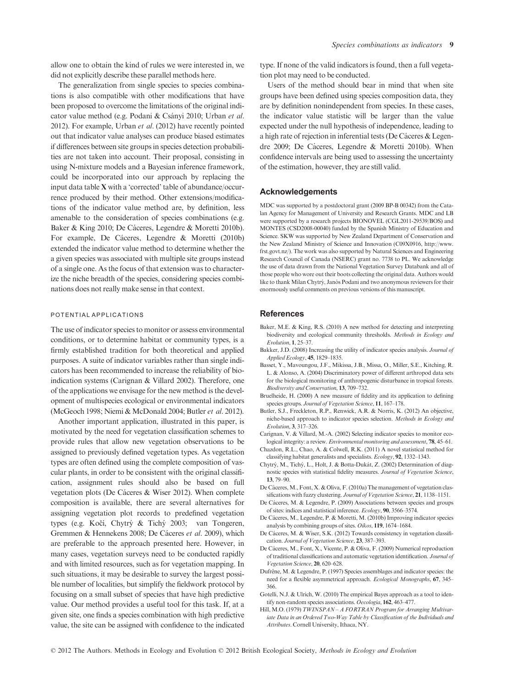allow one to obtain the kind of rules we were interested in, we did not explicitly describe these parallel methods here.

The generalization from single species to species combinations is also compatible with other modifications that have been proposed to overcome the limitations of the original indicator value method (e.g. Podani & Csányi 2010; Urban et al. 2012). For example, Urban et al. (2012) have recently pointed out that indicator value analyses can produce biased estimates if differences between site groups in species detection probabilities are not taken into account. Their proposal, consisting in using N-mixture models and a Bayesian inference framework, could be incorporated into our approach by replacing the input data table X with a 'corrected' table of abundance/occurrence produced by their method. Other extensions/modifications of the indicator value method are, by definition, less amenable to the consideration of species combinations (e.g. Baker & King 2010; De Cáceres, Legendre & Moretti 2010b). For example, De Cáceres, Legendre & Moretti (2010b) extended the indicator value method to determine whether the a given species was associated with multiple site groups instead of a single one. As the focus of that extension was to characterize the niche breadth of the species, considering species combinations does not really make sense in that context.

## POTENTIAL APPLICATIONS

The use of indicator species to monitor or assess environmental conditions, or to determine habitat or community types, is a firmly established tradition for both theoretical and applied purposes. A suite of indicator variables rather than single indicators has been recommended to increase the reliability of bioindication systems (Carignan & Villard 2002). Therefore, one of the applications we envisage for the new method is the development of multispecies ecological or environmental indicators (McGeoch 1998; Niemi & McDonald 2004; Butler et al. 2012).

Another important application, illustrated in this paper, is motivated by the need for vegetation classification schemes to provide rules that allow new vegetation observations to be assigned to previously defined vegetation types. As vegetation types are often defined using the complete composition of vascular plants, in order to be consistent with the original classification, assignment rules should also be based on full vegetation plots (De Cáceres  $&$  Wiser 2012). When complete composition is available, there are several alternatives for assigning vegetation plot records to predefined vegetation types (e.g. Kočí, Chytrý & Tichý 2003; van Tongeren, Gremmen & Hennekens 2008; De Cáceres et al. 2009), which are preferable to the approach presented here. However, in many cases, vegetation surveys need to be conducted rapidly and with limited resources, such as for vegetation mapping. In such situations, it may be desirable to survey the largest possible number of localities, but simplify the fieldwork protocol by focusing on a small subset of species that have high predictive value. Our method provides a useful tool for this task. If, at a given site, one finds a species combination with high predictive value, the site can be assigned with confidence to the indicated type. If none of the valid indicators is found, then a full vegetation plot may need to be conducted.

Users of the method should bear in mind that when site groups have been defined using species composition data, they are by definition nonindependent from species. In these cases, the indicator value statistic will be larger than the value expected under the null hypothesis of independence, leading to a high rate of rejection in inferential tests (De Cáceres & Legendre 2009; De Cáceres, Legendre & Moretti 2010b). When confidence intervals are being used to assessing the uncertainty of the estimation, however, they are still valid.

#### Acknowledgements

MDC was supported by a postdoctoral grant (2009 BP-B 00342) from the Catalan Agency for Management of University and Research Grants. MDC and LB were supported by a research projects BIONOVEL (CGL2011-29539/BOS) and MONTES (CSD2008-00040) funded by the Spanish Ministry of Education and Science. SKW was supported by New Zealand Department of Conservation and the New Zealand Ministry of Science and Innovation (C09X0916, http://www. frst.govt.nz/). The work was also supported by Natural Sciences and Engineering Research Council of Canada (NSERC) grant no. 7738 to PL. We acknowledge the use of data drawn from the National Vegetation Survey Databank and all of those people who wore out their boots collecting the original data. Authors would like to thank Milan Chytrý, Janós Podani and two anonymous reviewers for their enormously useful comments on previous versions of this manuscript.

### **References**

- Baker, M.E. & King, R.S. (2010) A new method for detecting and interpreting biodiversity and ecological community thresholds. Methods in Ecology and Evolution, 1, 25–37.
- Bakker, J.D. (2008) Increasing the utility of indicator species analysis. Journal of Applied Ecology, 45, 1829–1835.
- Basset, Y., Mavoungou, J.F., Mikissa, J.B., Missa, O., Miller, S.E., Kitching, R. L. & Alonso, A. (2004) Discriminatory power of different arthropod data sets for the biological monitoring of anthropogenic disturbance in tropical forests. Biodiversity and Conservation, 13, 709–732.
- Bruelheide, H. (2000) A new measure of fidelity and its application to defining species groups. Journal of Vegetation Science, 11, 167-178.
- Butler, S.J., Freckleton, R.P., Renwick, A.R. & Norris, K. (2012) An objective, niche-based approach to indicator species selection. Methods in Ecology and
- Evolution, 3, 317–326. Carignan, V. & Villard, M.-A. (2002) Selecting indicator species to monitor ecological integrity: a review. Environmental monitoring and assessment, 78, 45–61.
- Chazdon, R.L., Chao, A. & Colwell, R.K. (2011) A novel statistical method for classifying habitat generalists and specialists. Ecology, 92, 1332–1343.
- Chytrý, M., Tichý, L., Holt, J. & Botta-Dukát, Z. (2002) Determination of diagnostic species with statistical fidelity measures. Journal of Vegetation Science, 13, 79–90.
- De Cáceres, M., Font, X. & Oliva, F. (2010a) The management of vegetation classifications with fuzzy clustering. Journal of Vegetation Science, 21, 1138-1151.
- De Cáceres, M. & Legendre, P. (2009) Associations between species and groups of sites: indices and statistical inference. Ecology, 90, 3566–3574.
- De Cáceres, M., Legendre, P. & Moretti, M. (2010b) Improving indicator species analysis by combining groups of sites. Oikos, <sup>119</sup>, 1674–1684.
- De Cáceres, M. & Wiser, S.K. (2012) Towards consistency in vegetation classification. Journal of Vegetation Science, 23, 387–393.
- De Cáceres, M., Font, X., Vicente, P. & Oliva, F. (2009) Numerical reproduction of traditional classifications and automatic vegetation identification. Journal of Vegetation Science, 20, 620–628.
- Dufrêne, M. & Legendre, P. (1997) Species assemblages and indicator species: the need for a flexible asymmetrical approach. Ecological Monographs, 67, 345– 366.
- Gotelli, N.J. & Ulrich, W. (2010) The empirical Bayes approach as a tool to identify non-random species associations. Oecologia, 162, 463–477.
- Hill, M.O. (1979) TWINSPAN A FORTRAN Program for Arranging Multivariate Data in an Ordered Two-Way Table by Classification of the Individuals and Attributes. Cornell University, Ithaca, NY.